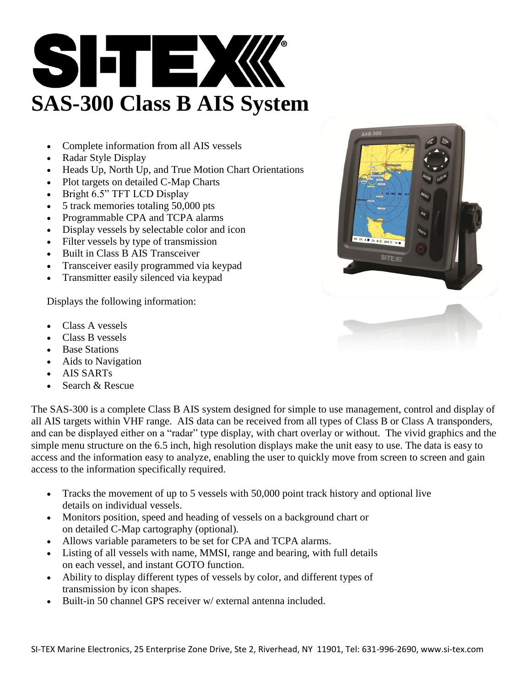

- Complete information from all AIS vessels
- Radar Style Display
- Heads Up, North Up, and True Motion Chart Orientations
- Plot targets on detailed C-Map Charts
- Bright 6.5" TFT LCD Display
- 5 track memories totaling 50,000 pts
- Programmable CPA and TCPA alarms
- Display vessels by selectable color and icon
- Filter vessels by type of transmission
- Built in Class B AIS Transceiver
- Transceiver easily programmed via keypad
- Transmitter easily silenced via keypad

Displays the following information:

- Class A vessels
- Class B vessels
- Base Stations
- Aids to Navigation
- AIS SARTs
- Search & Rescue

The SAS-300 is a complete Class B AIS system designed for simple to use management, control and display of all AIS targets within VHF range. AIS data can be received from all types of Class B or Class A transponders, and can be displayed either on a "radar" type display, with chart overlay or without. The vivid graphics and the simple menu structure on the 6.5 inch, high resolution displays make the unit easy to use. The data is easy to access and the information easy to analyze, enabling the user to quickly move from screen to screen and gain access to the information specifically required.

- Tracks the movement of up to 5 vessels with 50,000 point track history and optional live details on individual vessels.
- Monitors position, speed and heading of vessels on a background chart or on detailed C-Map cartography (optional).
- Allows variable parameters to be set for CPA and TCPA alarms.
- Listing of all vessels with name, MMSI, range and bearing, with full details on each vessel, and instant GOTO function.
- Ability to display different types of vessels by color, and different types of transmission by icon shapes.
- Built-in 50 channel GPS receiver w/ external antenna included.